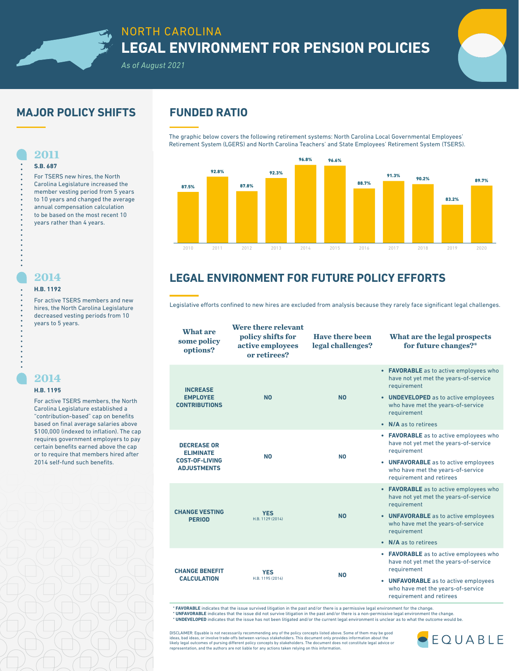# NORTH CAROLINA **LEGAL ENVIRONMENT FOR PENSION POLICIES**



## *As of August 2021*

# **MAJOR POLICY SHIFTS FUNDED RATIO**

For TSERS new hires, the North Carolina Legislature increased the member vesting period from 5 years to 10 years and changed the average annual compensation calculation to be based on the most recent 10 years rather than 4 years.

The graphic below covers the following retirement systems: North Carolina Local Governmental Employees' Retirement System (LGERS) and North Carolina Teachers' and State Employees' Retirement System (TSERS).



# **LEGAL ENVIRONMENT FOR FUTURE POLICY EFFORTS**

Legislative efforts confined to new hires are excluded from analysis because they rarely face significant legal challenges.

| <b>What are</b><br>some policy<br>options?                                            | Were there relevant<br>policy shifts for<br>active employees<br>or retirees? | <b>Have there been</b><br>legal challenges? | What are the legal prospects<br>for future changes?*                                                                                   |
|---------------------------------------------------------------------------------------|------------------------------------------------------------------------------|---------------------------------------------|----------------------------------------------------------------------------------------------------------------------------------------|
| <b>INCREASE</b><br><b>EMPLOYEE</b><br><b>CONTRIBUTIONS</b>                            | <b>NO</b>                                                                    | <b>NO</b>                                   | • FAVORABLE as to active employees who<br>have not yet met the years-of-service<br>requirement<br>• UNDEVELOPED as to active employees |
|                                                                                       |                                                                              |                                             | who have met the years-of-service<br>requirement<br>• N/A as to retirees                                                               |
| <b>DECREASE OR</b><br><b>ELIMINATE</b><br><b>COST-OF-LIVING</b><br><b>ADJUSTMENTS</b> | N <sub>0</sub>                                                               | <b>NO</b>                                   | • FAVORABLE as to active employees who<br>have not yet met the years-of-service<br>requirement                                         |
|                                                                                       |                                                                              |                                             | • UNFAVORABLE as to active employees<br>who have met the years-of-service<br>requirement and retirees                                  |
| <b>CHANGE VESTING</b><br><b>PERIOD</b>                                                | <b>YES</b><br>H.B. 1129 (2014)                                               | N <sub>0</sub>                              | • FAVORABLE as to active employees who<br>have not yet met the years-of-service<br>requirement                                         |
|                                                                                       |                                                                              |                                             | • UNFAVORABLE as to active employees<br>who have met the years-of-service<br>requirement                                               |
|                                                                                       |                                                                              |                                             | • N/A as to retirees                                                                                                                   |
| <b>CHANGE BENEFIT</b><br><b>CALCULATION</b>                                           | <b>YES</b><br>H.B. 1195 (2014)                                               | N <sub>0</sub>                              | • FAVORABLE as to active employees who<br>have not yet met the years-of-service<br>requirement                                         |
|                                                                                       |                                                                              |                                             | • UNFAVORABLE as to active employees<br>who have met the years-of-service<br>requirement and retirees                                  |

**\* FAVORABLE** indicates that the issue survived litigation in the past and/or there is a permissive legal environment for the change.<br>**\* UNFAVORABLE** indicates that the issue did not survive litigation in the past and/or t \* **UNDEVELOPED** indicates that the issue has not been litigated and/or the current legal environment is unclear as to what the outcome would be.

DISCLAIMER: Equable is not necessarily recommending any of the policy concepts listed above. Some of them may be good<br>ideas, bad ideas, or involve trade-offs between various stakeholders. This document only provides inform likely legal outcomes of pursing different policy concepts by stakeholders. The document does not constitute legal advice or representation, and the authors are not liable for any actions taken relying on this information.



**2014**

**2011 S.B. 687**

### **H.B. 1192**

For active TSERS members and new hires, the North Carolina Legislature decreased vesting periods from 10 years to 5 years.

## **2014**

#### **H.B. 1195**

For active TSERS members, the North Carolina Legislature established a "contribution-based" cap on benefits based on final average salaries above \$100,000 (indexed to inflation). The cap requires government employers to pay certain benefits earned above the cap or to require that members hired after 2014 self-fund such benefits.